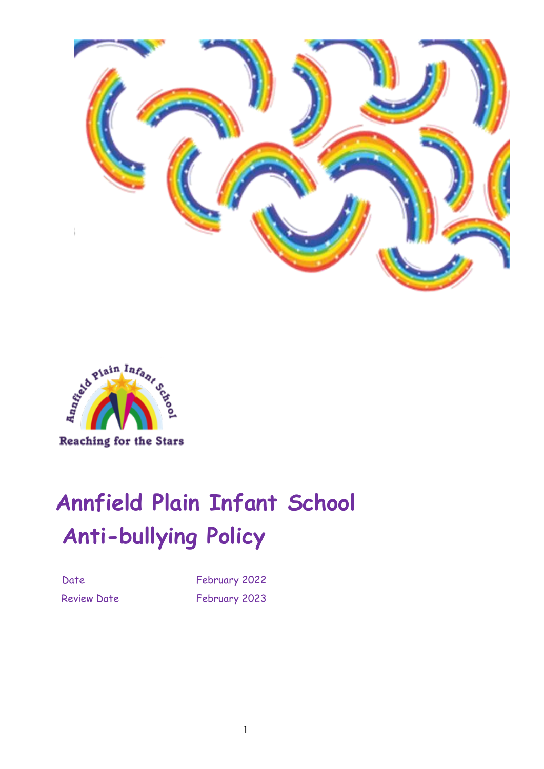



# **Annfield Plain Infant School Anti-bullying Policy**

Date February 2022 Review Date February 2023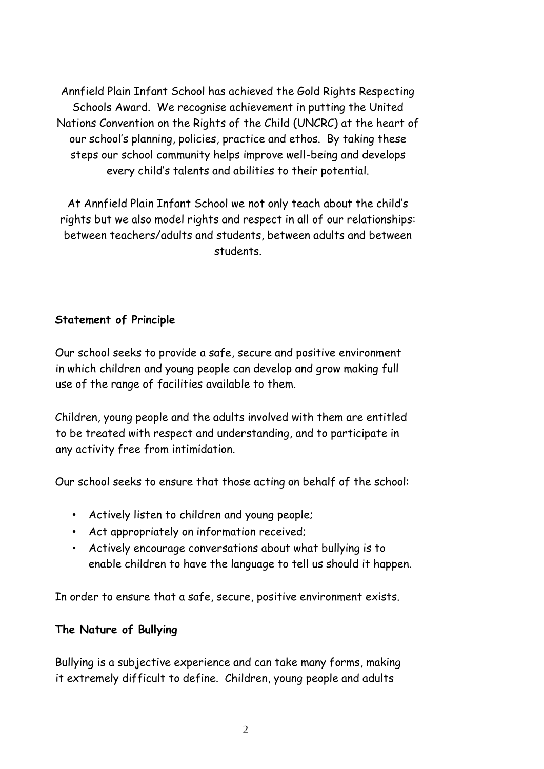Annfield Plain Infant School has achieved the Gold Rights Respecting Schools Award. We recognise achievement in putting the United Nations Convention on the Rights of the Child (UNCRC) at the heart of our school's planning, policies, practice and ethos. By taking these steps our school community helps improve well-being and develops every child's talents and abilities to their potential.

At Annfield Plain Infant School we not only teach about the child's rights but we also model rights and respect in all of our relationships: between teachers/adults and students, between adults and between students.

## **Statement of Principle**

Our school seeks to provide a safe, secure and positive environment in which children and young people can develop and grow making full use of the range of facilities available to them.

Children, young people and the adults involved with them are entitled to be treated with respect and understanding, and to participate in any activity free from intimidation.

Our school seeks to ensure that those acting on behalf of the school:

- Actively listen to children and young people;
- Act appropriately on information received;
- Actively encourage conversations about what bullying is to enable children to have the language to tell us should it happen.

In order to ensure that a safe, secure, positive environment exists.

## **The Nature of Bullying**

Bullying is a subjective experience and can take many forms, making it extremely difficult to define. Children, young people and adults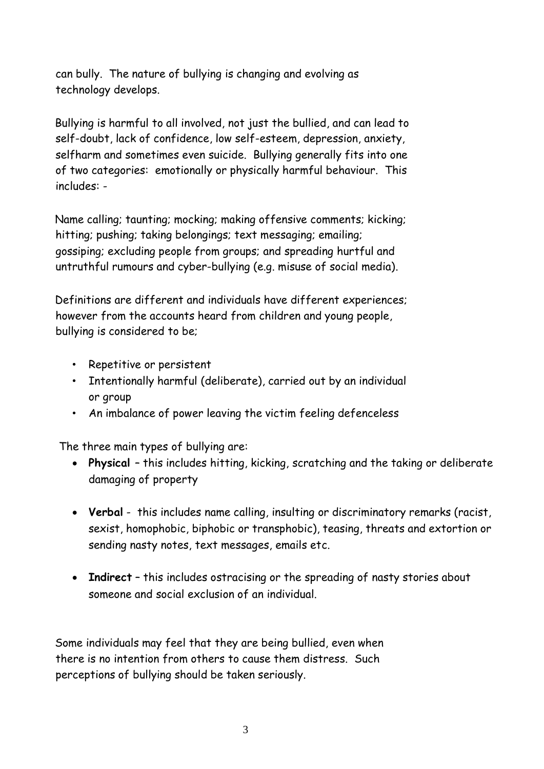can bully. The nature of bullying is changing and evolving as technology develops.

Bullying is harmful to all involved, not just the bullied, and can lead to self-doubt, lack of confidence, low self-esteem, depression, anxiety, selfharm and sometimes even suicide. Bullying generally fits into one of two categories: emotionally or physically harmful behaviour. This includes: -

Name calling; taunting; mocking; making offensive comments; kicking; hitting; pushing; taking belongings; text messaging; emailing; gossiping; excluding people from groups; and spreading hurtful and untruthful rumours and cyber-bullying (e.g. misuse of social media).

Definitions are different and individuals have different experiences; however from the accounts heard from children and young people, bullying is considered to be;

- Repetitive or persistent
- Intentionally harmful (deliberate), carried out by an individual or group
- An imbalance of power leaving the victim feeling defenceless

The three main types of bullying are:

- **Physical**  this includes hitting, kicking, scratching and the taking or deliberate damaging of property
- **Verbal** this includes name calling, insulting or discriminatory remarks (racist, sexist, homophobic, biphobic or transphobic), teasing, threats and extortion or sending nasty notes, text messages, emails etc.
- **Indirect** this includes ostracising or the spreading of nasty stories about someone and social exclusion of an individual.

Some individuals may feel that they are being bullied, even when there is no intention from others to cause them distress. Such perceptions of bullying should be taken seriously.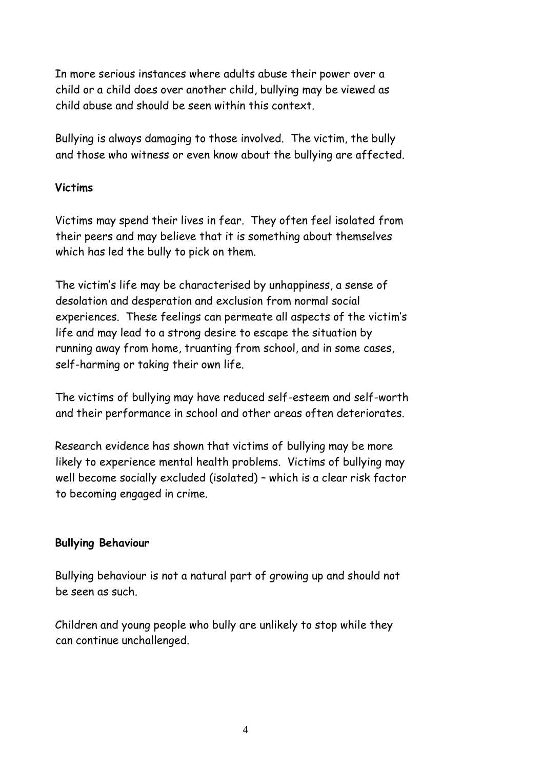In more serious instances where adults abuse their power over a child or a child does over another child, bullying may be viewed as child abuse and should be seen within this context.

Bullying is always damaging to those involved. The victim, the bully and those who witness or even know about the bullying are affected.

## **Victims**

Victims may spend their lives in fear. They often feel isolated from their peers and may believe that it is something about themselves which has led the bully to pick on them.

The victim's life may be characterised by unhappiness, a sense of desolation and desperation and exclusion from normal social experiences. These feelings can permeate all aspects of the victim's life and may lead to a strong desire to escape the situation by running away from home, truanting from school, and in some cases, self-harming or taking their own life.

The victims of bullying may have reduced self-esteem and self-worth and their performance in school and other areas often deteriorates.

Research evidence has shown that victims of bullying may be more likely to experience mental health problems. Victims of bullying may well become socially excluded (isolated) – which is a clear risk factor to becoming engaged in crime.

## **Bullying Behaviour**

Bullying behaviour is not a natural part of growing up and should not be seen as such.

Children and young people who bully are unlikely to stop while they can continue unchallenged.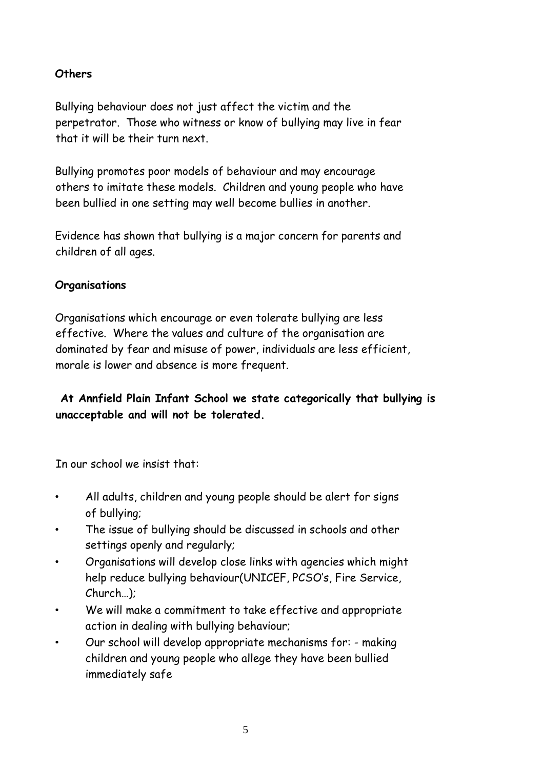## **Others**

Bullying behaviour does not just affect the victim and the perpetrator. Those who witness or know of bullying may live in fear that it will be their turn next.

Bullying promotes poor models of behaviour and may encourage others to imitate these models. Children and young people who have been bullied in one setting may well become bullies in another.

Evidence has shown that bullying is a major concern for parents and children of all ages.

## **Organisations**

Organisations which encourage or even tolerate bullying are less effective. Where the values and culture of the organisation are dominated by fear and misuse of power, individuals are less efficient, morale is lower and absence is more frequent.

**At Annfield Plain Infant School we state categorically that bullying is unacceptable and will not be tolerated.**

In our school we insist that:

- All adults, children and young people should be alert for signs of bullying;
- The issue of bullying should be discussed in schools and other settings openly and regularly;
- Organisations will develop close links with agencies which might help reduce bullying behaviour(UNICEF, PCSO's, Fire Service, Church…);
- We will make a commitment to take effective and appropriate action in dealing with bullying behaviour;
- Our school will develop appropriate mechanisms for: making children and young people who allege they have been bullied immediately safe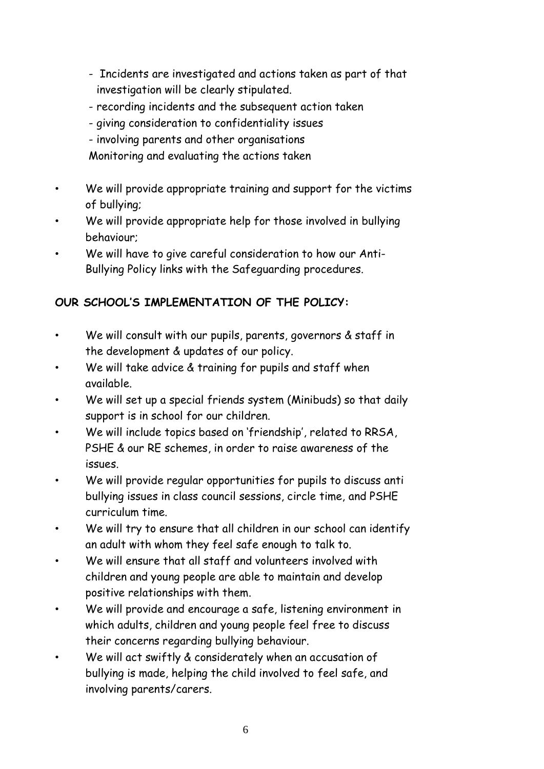- Incidents are investigated and actions taken as part of that investigation will be clearly stipulated.
- recording incidents and the subsequent action taken
- giving consideration to confidentiality issues
- involving parents and other organisations

Monitoring and evaluating the actions taken

- We will provide appropriate training and support for the victims of bullying;
- We will provide appropriate help for those involved in bullying behaviour;
- We will have to give careful consideration to how our Anti-Bullying Policy links with the Safeguarding procedures.

## **OUR SCHOOL'S IMPLEMENTATION OF THE POLICY:**

- We will consult with our pupils, parents, governors & staff in the development & updates of our policy.
- We will take advice & training for pupils and staff when available.
- We will set up a special friends system (Minibuds) so that daily support is in school for our children.
- We will include topics based on 'friendship', related to RRSA, PSHE & our RE schemes, in order to raise awareness of the issues.
- We will provide regular opportunities for pupils to discuss anti bullying issues in class council sessions, circle time, and PSHE curriculum time.
- We will try to ensure that all children in our school can identify an adult with whom they feel safe enough to talk to.
- We will ensure that all staff and volunteers involved with children and young people are able to maintain and develop positive relationships with them.
- We will provide and encourage a safe, listening environment in which adults, children and young people feel free to discuss their concerns regarding bullying behaviour.
- We will act swiftly & considerately when an accusation of bullying is made, helping the child involved to feel safe, and involving parents/carers.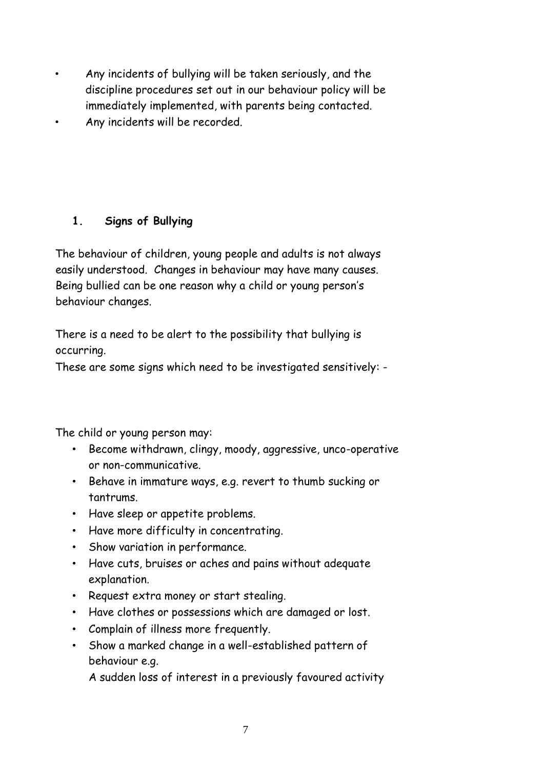- Any incidents of bullying will be taken seriously, and the discipline procedures set out in our behaviour policy will be immediately implemented, with parents being contacted.
- Any incidents will be recorded.

## **1. Signs of Bullying**

The behaviour of children, young people and adults is not always easily understood. Changes in behaviour may have many causes. Being bullied can be one reason why a child or young person's behaviour changes.

There is a need to be alert to the possibility that bullying is occurring.

These are some signs which need to be investigated sensitively: -

The child or young person may:

- Become withdrawn, clingy, moody, aggressive, unco-operative or non-communicative.
- Behave in immature ways, e.g. revert to thumb sucking or tantrums.
- Have sleep or appetite problems.
- Have more difficulty in concentrating.
- Show variation in performance.
- Have cuts, bruises or aches and pains without adequate explanation.
- Request extra money or start stealing.
- Have clothes or possessions which are damaged or lost.
- Complain of illness more frequently.
- Show a marked change in a well-established pattern of behaviour e.g.

A sudden loss of interest in a previously favoured activity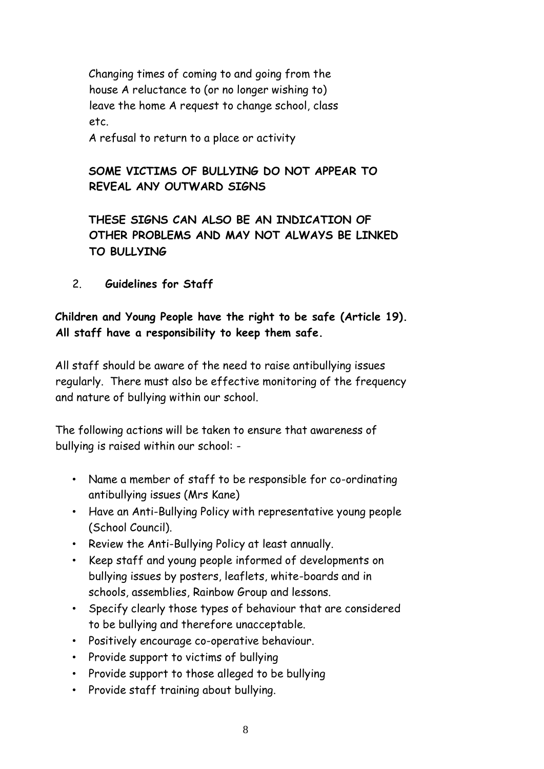Changing times of coming to and going from the house A reluctance to (or no longer wishing to) leave the home A request to change school, class etc.

A refusal to return to a place or activity

## **SOME VICTIMS OF BULLYING DO NOT APPEAR TO REVEAL ANY OUTWARD SIGNS**

**THESE SIGNS CAN ALSO BE AN INDICATION OF OTHER PROBLEMS AND MAY NOT ALWAYS BE LINKED TO BULLYING**

2. **Guidelines for Staff**

## **Children and Young People have the right to be safe (Article 19). All staff have a responsibility to keep them safe.**

All staff should be aware of the need to raise antibullying issues regularly. There must also be effective monitoring of the frequency and nature of bullying within our school.

The following actions will be taken to ensure that awareness of bullying is raised within our school: -

- Name a member of staff to be responsible for co-ordinating antibullying issues (Mrs Kane)
- Have an Anti-Bullying Policy with representative young people (School Council).
- Review the Anti-Bullying Policy at least annually.
- Keep staff and young people informed of developments on bullying issues by posters, leaflets, white-boards and in schools, assemblies, Rainbow Group and lessons.
- Specify clearly those types of behaviour that are considered to be bullying and therefore unacceptable.
- Positively encourage co-operative behaviour.
- Provide support to victims of bullying
- Provide support to those alleged to be bullying
- Provide staff training about bullying.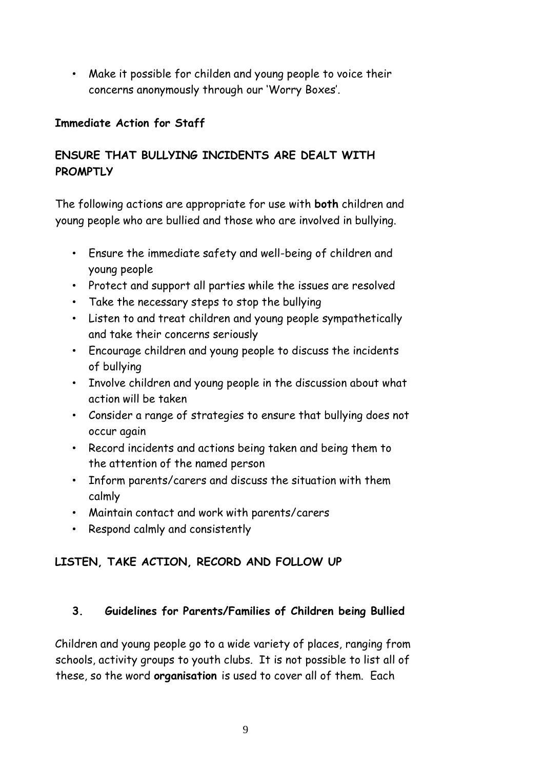• Make it possible for childen and young people to voice their concerns anonymously through our 'Worry Boxes'.

## **Immediate Action for Staff**

## **ENSURE THAT BULLYING INCIDENTS ARE DEALT WITH PROMPTLY**

The following actions are appropriate for use with **both** children and young people who are bullied and those who are involved in bullying.

- Ensure the immediate safety and well-being of children and young people
- Protect and support all parties while the issues are resolved
- Take the necessary steps to stop the bullying
- Listen to and treat children and young people sympathetically and take their concerns seriously
- Encourage children and young people to discuss the incidents of bullying
- Involve children and young people in the discussion about what action will be taken
- Consider a range of strategies to ensure that bullying does not occur again
- Record incidents and actions being taken and being them to the attention of the named person
- Inform parents/carers and discuss the situation with them calmly
- Maintain contact and work with parents/carers
- Respond calmly and consistently

# **LISTEN, TAKE ACTION, RECORD AND FOLLOW UP**

## **3. Guidelines for Parents/Families of Children being Bullied**

Children and young people go to a wide variety of places, ranging from schools, activity groups to youth clubs. It is not possible to list all of these, so the word **organisation** is used to cover all of them. Each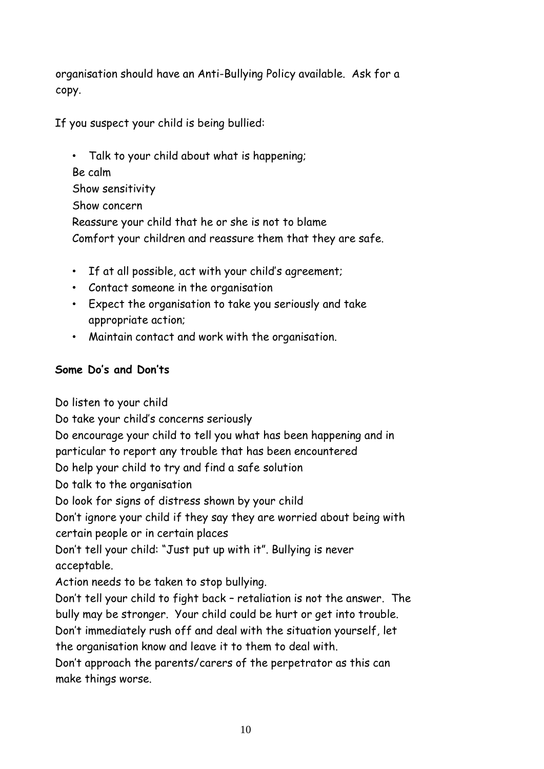organisation should have an Anti-Bullying Policy available. Ask for a copy.

If you suspect your child is being bullied:

• Talk to your child about what is happening; Be calm Show sensitivity Show concern Reassure your child that he or she is not to blame Comfort your children and reassure them that they are safe.

- If at all possible, act with your child's agreement;
- Contact someone in the organisation
- Expect the organisation to take you seriously and take appropriate action;
- Maintain contact and work with the organisation.

## **Some Do's and Don'ts**

Do listen to your child Do take your child's concerns seriously Do encourage your child to tell you what has been happening and in particular to report any trouble that has been encountered Do help your child to try and find a safe solution Do talk to the organisation Do look for signs of distress shown by your child Don't ignore your child if they say they are worried about being with certain people or in certain places Don't tell your child: "Just put up with it". Bullying is never acceptable. Action needs to be taken to stop bullying. Don't tell your child to fight back – retaliation is not the answer. The bully may be stronger. Your child could be hurt or get into trouble. Don't immediately rush off and deal with the situation yourself, let the organisation know and leave it to them to deal with. Don't approach the parents/carers of the perpetrator as this can make things worse.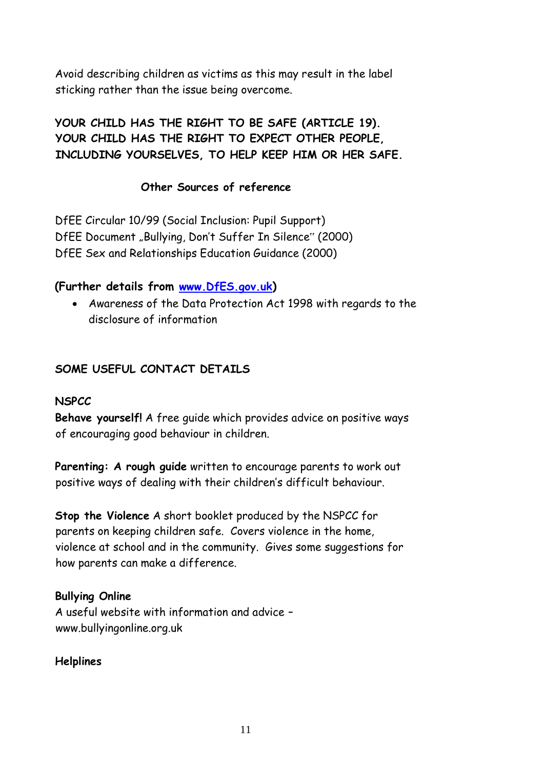Avoid describing children as victims as this may result in the label sticking rather than the issue being overcome.

## **YOUR CHILD HAS THE RIGHT TO BE SAFE (ARTICLE 19). YOUR CHILD HAS THE RIGHT TO EXPECT OTHER PEOPLE, INCLUDING YOURSELVES, TO HELP KEEP HIM OR HER SAFE.**

## **Other Sources of reference**

DfEE Circular 10/99 (Social Inclusion: Pupil Support) DfEE Document "Bullying, Don't Suffer In Silence" (2000) DfEE Sex and Relationships Education Guidance (2000)

## **(Further details fr[om](http://www.dfes.gov.uk/) [www.DfES.gov.uk](http://www.dfes.gov.uk/)[\)](http://www.dfes.gov.uk/)**

• Awareness of the Data Protection Act 1998 with regards to the disclosure of information

## **SOME USEFUL CONTACT DETAILS**

#### **NSPCC**

**Behave yourself!** A free guide which provides advice on positive ways of encouraging good behaviour in children.

**Parenting: A rough guide** written to encourage parents to work out positive ways of dealing with their children's difficult behaviour.

**Stop the Violence** A short booklet produced by the NSPCC for parents on keeping children safe. Covers violence in the home, violence at school and in the community. Gives some suggestions for how parents can make a difference.

## **Bullying Online**

A useful website with information and advice – www.bullyingonline.org.uk

#### **Helplines**